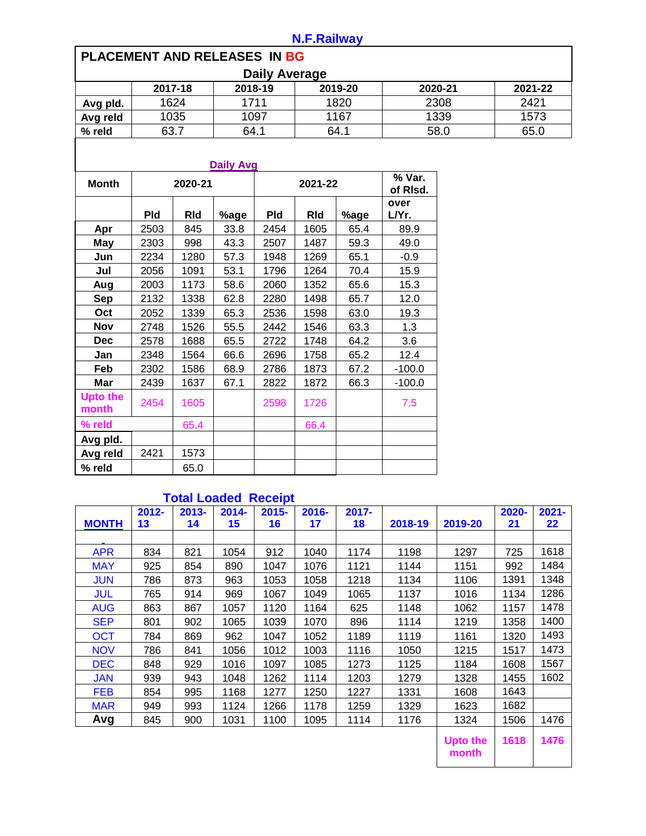## **N.F.Railway**

| PLACEMENT AND RELEASES IN BG |            |            |                  |                      |            |      |               |         |         |
|------------------------------|------------|------------|------------------|----------------------|------------|------|---------------|---------|---------|
|                              |            |            |                  | <b>Daily Average</b> |            |      |               |         |         |
|                              |            | 2017-18    |                  | 2018-19              | 2019-20    |      |               | 2020-21 | 2021-22 |
| Avg pld.                     |            | 1624       |                  | 1711                 | 1820       |      |               | 2308    | 2421    |
| Avg reld                     |            | 1035       |                  | 1097                 |            | 1167 |               | 1339    | 1573    |
| % reld                       | 63.7       |            | 64.1             |                      | 64.1       |      | 58.0          |         | 65.0    |
|                              |            |            |                  |                      |            |      |               |         |         |
|                              |            |            | <b>Daily Avg</b> |                      |            |      |               |         |         |
| <b>Month</b>                 |            | 2020-21    |                  |                      | 2021-22    |      |               |         |         |
|                              | <b>Pld</b> | <b>RId</b> | %age             | <b>Pld</b>           | <b>RId</b> | %age | over<br>L/Yr. |         |         |
| Apr                          | 2503       | 845        | 33.8             | 2454                 | 1605       | 65.4 | 89.9          |         |         |
| <b>May</b>                   | 2303       | 998        | 43.3             | 2507                 | 1487       | 59.3 | 49.0          |         |         |
| Jun                          | 2234       | 1280       | 57.3             | 1948                 | 1269       | 65.1 | $-0.9$        |         |         |
| Jul                          | 2056       | 1091       | 53.1             | 1796                 | 1264       | 70.4 | 15.9          |         |         |
| Aug                          | 2003       | 1173       | 58.6             | 2060                 | 1352       | 65.6 | 15.3          |         |         |
| <b>Sep</b>                   | 2132       | 1338       | 62.8             | 2280                 | 1498       | 65.7 | 12.0          |         |         |
| Oct                          | 2052       | 1339       | 65.3             | 2536                 | 1598       | 63.0 | 19.3          |         |         |
| <b>Nov</b>                   | 2748       | 1526       | 55.5             | 2442                 | 1546       | 63.3 | 1.3           |         |         |
| <b>Dec</b>                   | 2578       | 1688       | 65.5             | 2722                 | 1748       | 64.2 | 3.6           |         |         |
| Jan                          | 2348       | 1564       | 66.6             | 2696                 | 1758       | 65.2 | 12.4          |         |         |
| Feb                          | 2302       | 1586       | 68.9             | 2786                 | 1873       | 67.2 | $-100.0$      |         |         |
| <b>Mar</b>                   | 2439       | 1637       | 67.1             | 2822                 | 1872       | 66.3 | $-100.0$      |         |         |
| <b>Upto the</b><br>month     | 2454       | 1605       |                  | 2598                 | 1726       |      | 7.5           |         |         |
| % reld                       |            | 65.4       |                  |                      | 66.4       |      |               |         |         |
| Avg pld.                     |            |            |                  |                      |            |      |               |         |         |
| Avg reld                     | 2421       | 1573       |                  |                      |            |      |               |         |         |
| % reld                       |            | 65.0       |                  |                      |            |      |               |         |         |

## **Total Loaded Receipt**

| <b>MONTH</b> | $2012 -$<br>13 | $2013 -$<br>14 | $2014 -$<br>15 | $2015 -$<br>16 | $2016 -$<br>17 | $2017 -$<br>18 | 2018-19 | 2019-20         | 2020-<br>21 | $2021 -$<br>22 |
|--------------|----------------|----------------|----------------|----------------|----------------|----------------|---------|-----------------|-------------|----------------|
|              |                |                |                |                |                |                |         |                 |             |                |
| <b>APR</b>   | 834            | 821            | 1054           | 912            | 1040           | 1174           | 1198    | 1297            | 725         | 1618           |
| <b>MAY</b>   | 925            | 854            | 890            | 1047           | 1076           | 1121           | 1144    | 1151            | 992         | 1484           |
| <b>JUN</b>   | 786            | 873            | 963            | 1053           | 1058           | 1218           | 1134    | 1106            | 1391        | 1348           |
| <b>JUL</b>   | 765            | 914            | 969            | 1067           | 1049           | 1065           | 1137    | 1016            | 1134        | 1286           |
| <b>AUG</b>   | 863            | 867            | 1057           | 1120           | 1164           | 625            | 1148    | 1062            | 1157        | 1478           |
| <b>SEP</b>   | 801            | 902            | 1065           | 1039           | 1070           | 896            | 1114    | 1219            | 1358        | 1400           |
| <b>OCT</b>   | 784            | 869            | 962            | 1047           | 1052           | 1189           | 1119    | 1161            | 1320        | 1493           |
| <b>NOV</b>   | 786            | 841            | 1056           | 1012           | 1003           | 1116           | 1050    | 1215            | 1517        | 1473           |
| <b>DEC</b>   | 848            | 929            | 1016           | 1097           | 1085           | 1273           | 1125    | 1184            | 1608        | 1567           |
| <b>JAN</b>   | 939            | 943            | 1048           | 1262           | 1114           | 1203           | 1279    | 1328            | 1455        | 1602           |
| <b>FEB</b>   | 854            | 995            | 1168           | 1277           | 1250           | 1227           | 1331    | 1608            | 1643        |                |
| <b>MAR</b>   | 949            | 993            | 1124           | 1266           | 1178           | 1259           | 1329    | 1623            | 1682        |                |
| Avg          | 845            | 900            | 1031           | 1100           | 1095           | 1114           | 1176    | 1324            | 1506        | 1476           |
|              |                |                |                |                |                |                |         | <b>Upto the</b> | 1618        | 1476           |

**month**  $\overline{\phantom{a}}$